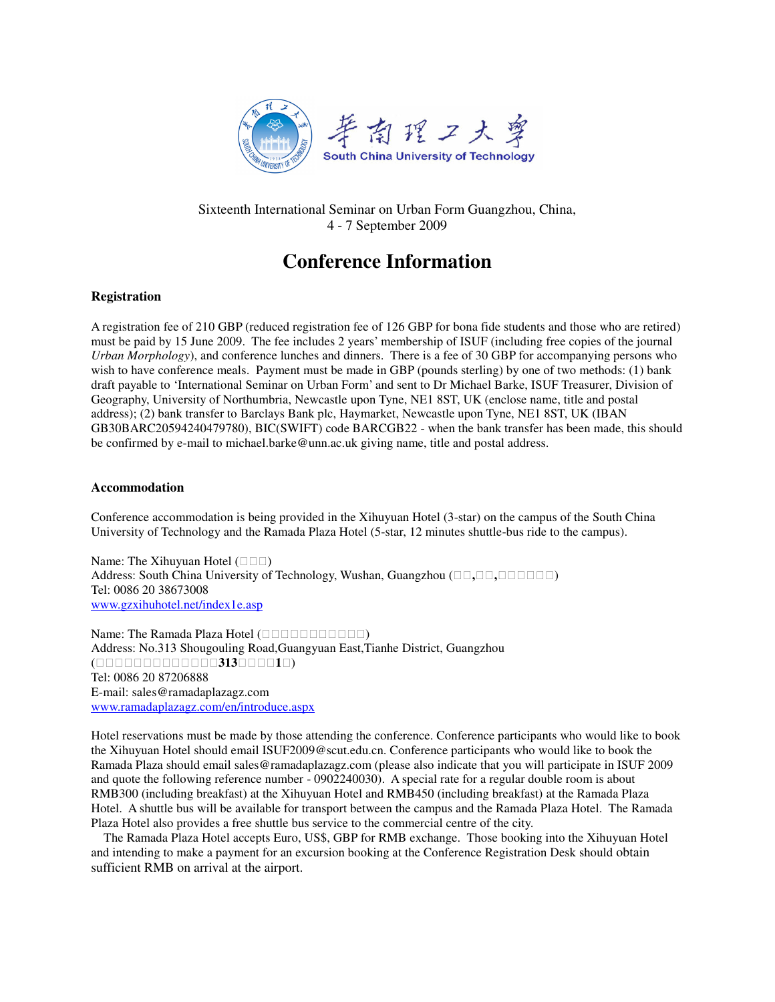

Sixteenth International Seminar on Urban Form Guangzhou, China, 4 - 7 September 2009

# **Conference Information**

# **Registration**

A registration fee of 210 GBP (reduced registration fee of 126 GBP for bona fide students and those who are retired) must be paid by 15 June 2009. The fee includes 2 years' membership of ISUF (including free copies of the journal *Urban Morphology*), and conference lunches and dinners. There is a fee of 30 GBP for accompanying persons who wish to have conference meals. Payment must be made in GBP (pounds sterling) by one of two methods: (1) bank draft payable to 'International Seminar on Urban Form' and sent to Dr Michael Barke, ISUF Treasurer, Division of Geography, University of Northumbria, Newcastle upon Tyne, NE1 8ST, UK (enclose name, title and postal address); (2) bank transfer to Barclays Bank plc, Haymarket, Newcastle upon Tyne, NE1 8ST, UK (IBAN GB30BARC20594240479780), BIC(SWIFT) code BARCGB22 - when the bank transfer has been made, this should be confirmed by e-mail to michael.barke@unn.ac.uk giving name, title and postal address.

## **Accommodation**

Conference accommodation is being provided in the Xihuyuan Hotel (3-star) on the campus of the South China University of Technology and the Ramada Plaza Hotel (5-star, 12 minutes shuttle-bus ride to the campus).

Name: The Xihuyuan Hotel () Address: South China University of Technology, Wushan, Guangzhou (**,,**) Tel: 0086 20 38673008 www.gzxihuhotel.net/index1e.asp Name: The Ramada Plaza Hotel ()

Address: No.313 Shougouling Road,Guangyuan East,Tianhe District, Guangzhou  $($  313 1) Tel: 0086 20 87206888 E-mail: sales@ramadaplazagz.com www.ramadaplazagz.com/en/introduce.aspx

Hotel reservations must be made by those attending the conference. Conference participants who would like to book the Xihuyuan Hotel should email ISUF2009@scut.edu.cn. Conference participants who would like to book the Ramada Plaza should email sales@ramadaplazagz.com (please also indicate that you will participate in ISUF 2009 and quote the following reference number - 0902240030). A special rate for a regular double room is about RMB300 (including breakfast) at the Xihuyuan Hotel and RMB450 (including breakfast) at the Ramada Plaza Hotel. A shuttle bus will be available for transport between the campus and the Ramada Plaza Hotel. The Ramada Plaza Hotel also provides a free shuttle bus service to the commercial centre of the city.

The Ramada Plaza Hotel accepts Euro, US\$, GBP for RMB exchange. Those booking into the Xihuyuan Hotel and intending to make a payment for an excursion booking at the Conference Registration Desk should obtain sufficient RMB on arrival at the airport.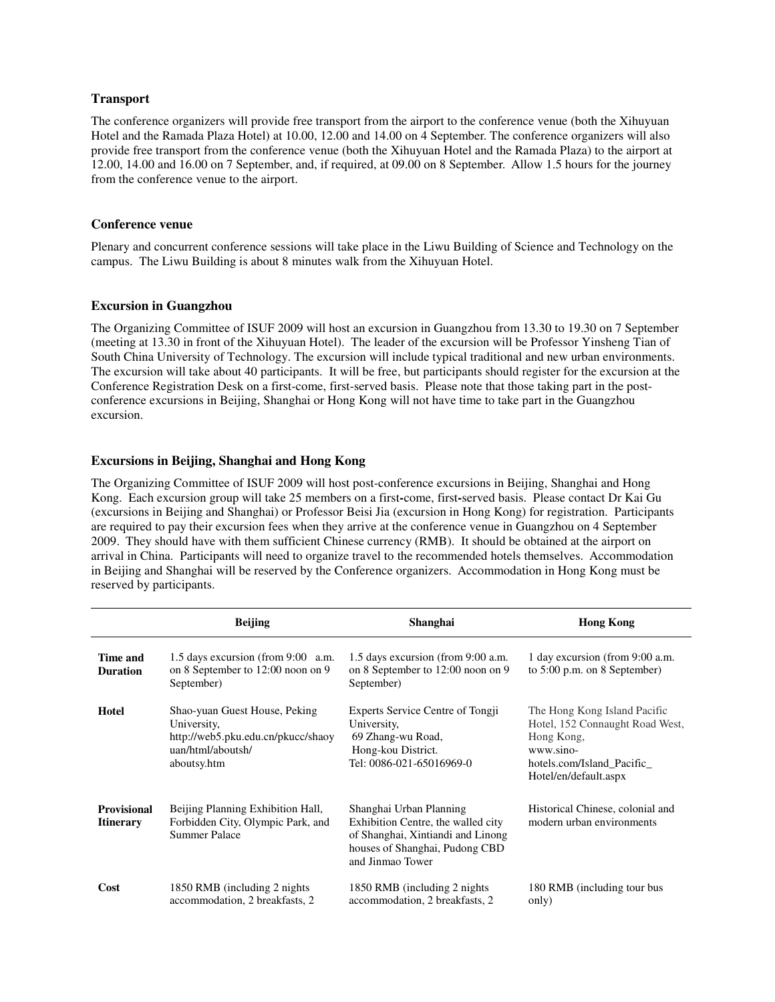# **Transport**

The conference organizers will provide free transport from the airport to the conference venue (both the Xihuyuan Hotel and the Ramada Plaza Hotel) at 10.00, 12.00 and 14.00 on 4 September. The conference organizers will also provide free transport from the conference venue (both the Xihuyuan Hotel and the Ramada Plaza) to the airport at 12.00, 14.00 and 16.00 on 7 September, and, if required, at 09.00 on 8 September. Allow 1.5 hours for the journey from the conference venue to the airport.

## **Conference venue**

Plenary and concurrent conference sessions will take place in the Liwu Building of Science and Technology on the campus. The Liwu Building is about 8 minutes walk from the Xihuyuan Hotel.

## **Excursion in Guangzhou**

The Organizing Committee of ISUF 2009 will host an excursion in Guangzhou from 13.30 to 19.30 on 7 September (meeting at 13.30 in front of the Xihuyuan Hotel). The leader of the excursion will be Professor Yinsheng Tian of South China University of Technology. The excursion will include typical traditional and new urban environments. The excursion will take about 40 participants. It will be free, but participants should register for the excursion at the Conference Registration Desk on a first-come, first-served basis. Please note that those taking part in the postconference excursions in Beijing, Shanghai or Hong Kong will not have time to take part in the Guangzhou excursion.

# **Excursions in Beijing, Shanghai and Hong Kong**

The Organizing Committee of ISUF 2009 will host post-conference excursions in Beijing, Shanghai and Hong Kong. Each excursion group will take 25 members on a first**-**come, first**-**served basis. Please contact Dr Kai Gu (excursions in Beijing and Shanghai) or Professor Beisi Jia (excursion in Hong Kong) for registration. Participants are required to pay their excursion fees when they arrive at the conference venue in Guangzhou on 4 September 2009. They should have with them sufficient Chinese currency (RMB). It should be obtained at the airport on arrival in China. Participants will need to organize travel to the recommended hotels themselves. Accommodation in Beijing and Shanghai will be reserved by the Conference organizers. Accommodation in Hong Kong must be reserved by participants.

|                                        | <b>Beijing</b>                                                                                                         | Shanghai                                                                                                                                                 | <b>Hong Kong</b>                                                                                                                                 |
|----------------------------------------|------------------------------------------------------------------------------------------------------------------------|----------------------------------------------------------------------------------------------------------------------------------------------------------|--------------------------------------------------------------------------------------------------------------------------------------------------|
| Time and<br><b>Duration</b>            | 1.5 days excursion (from 9:00 a.m.<br>on 8 September to 12:00 noon on 9<br>September)                                  | 1.5 days excursion (from 9:00 a.m.<br>on 8 September to 12:00 noon on 9<br>September)                                                                    | 1 day excursion (from 9:00 a.m.<br>to $5:00$ p.m. on 8 September)                                                                                |
| Hotel                                  | Shao-yuan Guest House, Peking<br>University,<br>http://web5.pku.edu.cn/pkucc/shaoy<br>uan/html/aboutsh/<br>aboutsy.htm | Experts Service Centre of Tongji<br>University,<br>69 Zhang-wu Road,<br>Hong-kou District.<br>Tel: 0086-021-65016969-0                                   | The Hong Kong Island Pacific<br>Hotel, 152 Connaught Road West,<br>Hong Kong,<br>www.sino-<br>hotels.com/Island Pacific<br>Hotel/en/default.aspx |
| <b>Provisional</b><br><b>Itinerary</b> | Beijing Planning Exhibition Hall,<br>Forbidden City, Olympic Park, and<br>Summer Palace                                | Shanghai Urban Planning<br>Exhibition Centre, the walled city<br>of Shanghai, Xintiandi and Linong<br>houses of Shanghai, Pudong CBD<br>and Jinmao Tower | Historical Chinese, colonial and<br>modern urban environments                                                                                    |
| Cost                                   | 1850 RMB (including 2 nights)<br>accommodation, 2 breakfasts, 2                                                        | 1850 RMB (including 2 nights)<br>accommodation, 2 breakfasts, 2                                                                                          | 180 RMB (including tour bus<br>only)                                                                                                             |